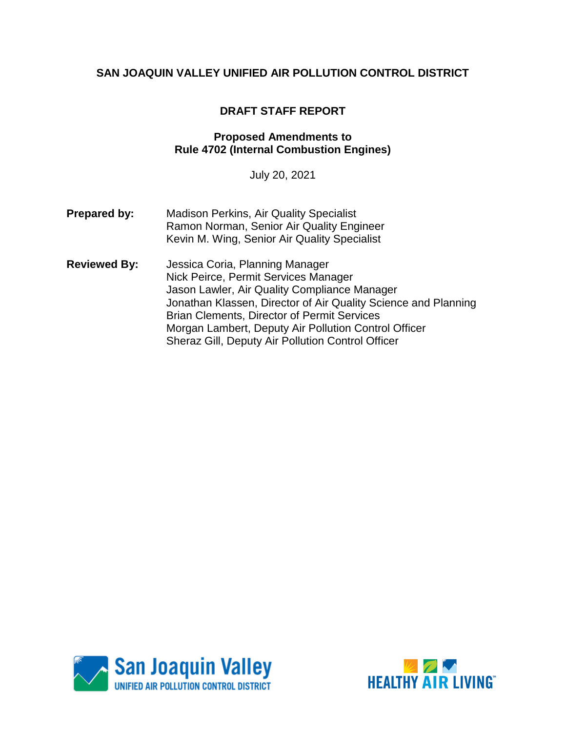## **DRAFT STAFF REPORT**

#### **Proposed Amendments to Rule 4702 (Internal Combustion Engines)**

July 20, 2021

- **Prepared by:** Madison Perkins, Air Quality Specialist Ramon Norman, Senior Air Quality Engineer Kevin M. Wing, Senior Air Quality Specialist
- **Reviewed By:** Jessica Coria, Planning Manager Nick Peirce, Permit Services Manager Jason Lawler, Air Quality Compliance Manager Jonathan Klassen, Director of Air Quality Science and Planning Brian Clements, Director of Permit Services Morgan Lambert, Deputy Air Pollution Control Officer Sheraz Gill, Deputy Air Pollution Control Officer



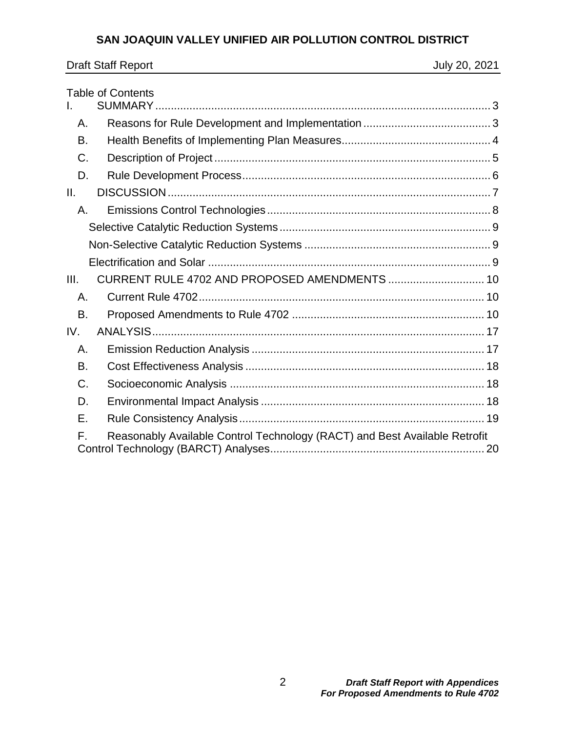| <b>Draft Staff Report</b> | July 20, 2021 |
|---------------------------|---------------|
|                           |               |

|      | <b>Table of Contents</b>                                                   |  |
|------|----------------------------------------------------------------------------|--|
|      |                                                                            |  |
| Α.   |                                                                            |  |
| В.   |                                                                            |  |
| C.   |                                                                            |  |
| D.   |                                                                            |  |
| Ш.   |                                                                            |  |
| Α.   |                                                                            |  |
|      |                                                                            |  |
|      |                                                                            |  |
|      |                                                                            |  |
| III. | CURRENT RULE 4702 AND PROPOSED AMENDMENTS  10                              |  |
| Α.   |                                                                            |  |
| B.   |                                                                            |  |
| IV.  |                                                                            |  |
| Α.   |                                                                            |  |
| В.   |                                                                            |  |
| C.   |                                                                            |  |
| D.   |                                                                            |  |
| Е.   |                                                                            |  |
| F.   | Reasonably Available Control Technology (RACT) and Best Available Retrofit |  |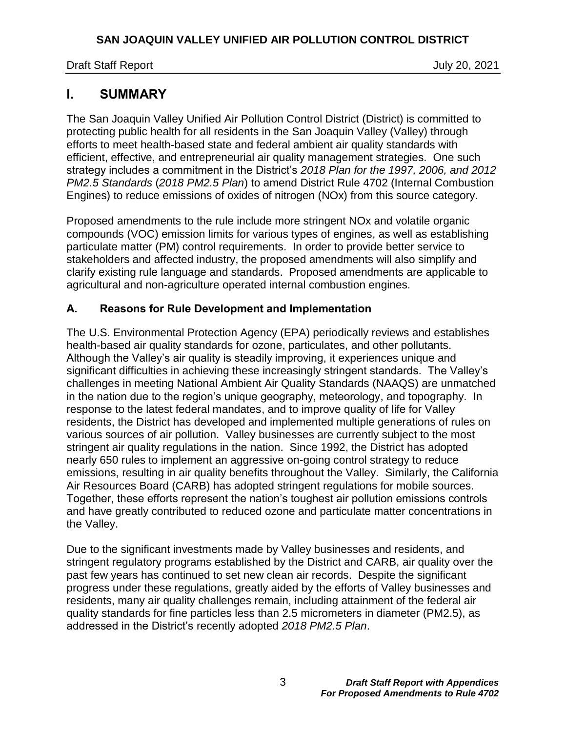# <span id="page-2-0"></span>**I. SUMMARY**

The San Joaquin Valley Unified Air Pollution Control District (District) is committed to protecting public health for all residents in the San Joaquin Valley (Valley) through efforts to meet health-based state and federal ambient air quality standards with efficient, effective, and entrepreneurial air quality management strategies. One such strategy includes a commitment in the District's *2018 Plan for the 1997, 2006, and 2012 PM2.5 Standards* (*2018 PM2.5 Plan*) to amend District Rule 4702 (Internal Combustion Engines) to reduce emissions of oxides of nitrogen (NOx) from this source category.

Proposed amendments to the rule include more stringent NOx and volatile organic compounds (VOC) emission limits for various types of engines, as well as establishing particulate matter (PM) control requirements. In order to provide better service to stakeholders and affected industry, the proposed amendments will also simplify and clarify existing rule language and standards. Proposed amendments are applicable to agricultural and non-agriculture operated internal combustion engines.

## <span id="page-2-1"></span>**A. Reasons for Rule Development and Implementation**

The U.S. Environmental Protection Agency (EPA) periodically reviews and establishes health-based air quality standards for ozone, particulates, and other pollutants. Although the Valley's air quality is steadily improving, it experiences unique and significant difficulties in achieving these increasingly stringent standards. The Valley's challenges in meeting National Ambient Air Quality Standards (NAAQS) are unmatched in the nation due to the region's unique geography, meteorology, and topography. In response to the latest federal mandates, and to improve quality of life for Valley residents, the District has developed and implemented multiple generations of rules on various sources of air pollution. Valley businesses are currently subject to the most stringent air quality regulations in the nation. Since 1992, the District has adopted nearly 650 rules to implement an aggressive on-going control strategy to reduce emissions, resulting in air quality benefits throughout the Valley. Similarly, the California Air Resources Board (CARB) has adopted stringent regulations for mobile sources. Together, these efforts represent the nation's toughest air pollution emissions controls and have greatly contributed to reduced ozone and particulate matter concentrations in the Valley.

Due to the significant investments made by Valley businesses and residents, and stringent regulatory programs established by the District and CARB, air quality over the past few years has continued to set new clean air records. Despite the significant progress under these regulations, greatly aided by the efforts of Valley businesses and residents, many air quality challenges remain, including attainment of the federal air quality standards for fine particles less than 2.5 micrometers in diameter (PM2.5), as addressed in the District's recently adopted *2018 PM2.5 Plan*.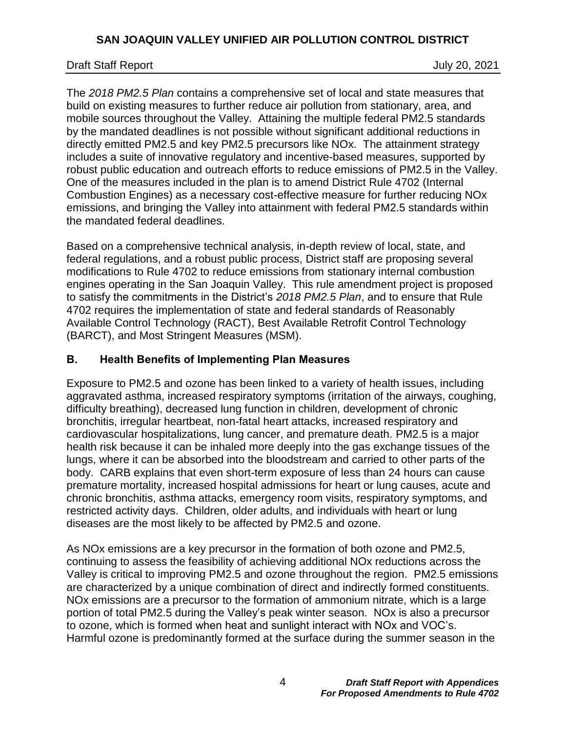### Draft Staff Report July 20, 2021

The *2018 PM2.5 Plan* contains a comprehensive set of local and state measures that build on existing measures to further reduce air pollution from stationary, area, and mobile sources throughout the Valley. Attaining the multiple federal PM2.5 standards by the mandated deadlines is not possible without significant additional reductions in directly emitted PM2.5 and key PM2.5 precursors like NOx. The attainment strategy includes a suite of innovative regulatory and incentive-based measures, supported by robust public education and outreach efforts to reduce emissions of PM2.5 in the Valley. One of the measures included in the plan is to amend District Rule 4702 (Internal Combustion Engines) as a necessary cost-effective measure for further reducing NOx emissions, and bringing the Valley into attainment with federal PM2.5 standards within the mandated federal deadlines.

Based on a comprehensive technical analysis, in-depth review of local, state, and federal regulations, and a robust public process, District staff are proposing several modifications to Rule 4702 to reduce emissions from stationary internal combustion engines operating in the San Joaquin Valley. This rule amendment project is proposed to satisfy the commitments in the District's *2018 PM2.5 Plan*, and to ensure that Rule 4702 requires the implementation of state and federal standards of Reasonably Available Control Technology (RACT), Best Available Retrofit Control Technology (BARCT), and Most Stringent Measures (MSM).

### <span id="page-3-0"></span>**B. Health Benefits of Implementing Plan Measures**

Exposure to PM2.5 and ozone has been linked to a variety of health issues, including aggravated asthma, increased respiratory symptoms (irritation of the airways, coughing, difficulty breathing), decreased lung function in children, development of chronic bronchitis, irregular heartbeat, non-fatal heart attacks, increased respiratory and cardiovascular hospitalizations, lung cancer, and premature death. PM2.5 is a major health risk because it can be inhaled more deeply into the gas exchange tissues of the lungs, where it can be absorbed into the bloodstream and carried to other parts of the body. CARB explains that even short-term exposure of less than 24 hours can cause premature mortality, increased hospital admissions for heart or lung causes, acute and chronic bronchitis, asthma attacks, emergency room visits, respiratory symptoms, and restricted activity days. Children, older adults, and individuals with heart or lung diseases are the most likely to be affected by PM2.5 and ozone.

As NOx emissions are a key precursor in the formation of both ozone and PM2.5, continuing to assess the feasibility of achieving additional NOx reductions across the Valley is critical to improving PM2.5 and ozone throughout the region. PM2.5 emissions are characterized by a unique combination of direct and indirectly formed constituents. NOx emissions are a precursor to the formation of ammonium nitrate, which is a large portion of total PM2.5 during the Valley's peak winter season. NOx is also a precursor to ozone, which is formed when heat and sunlight interact with NOx and VOC's. Harmful ozone is predominantly formed at the surface during the summer season in the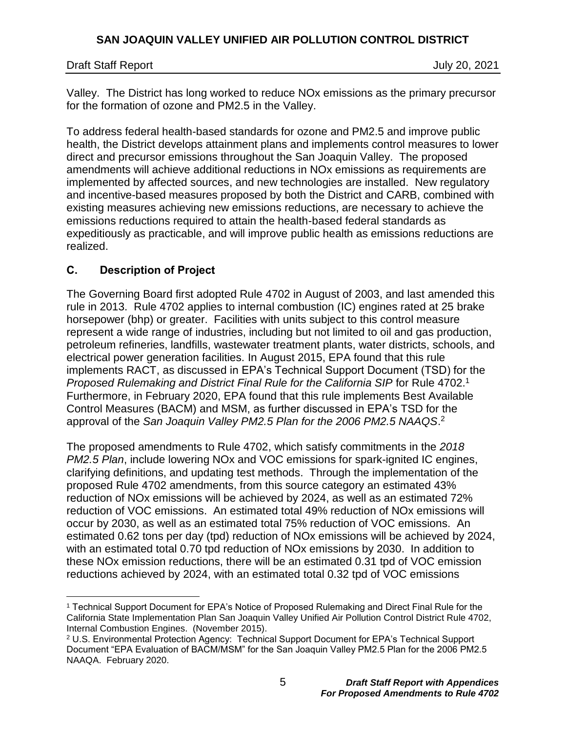Valley. The District has long worked to reduce NOx emissions as the primary precursor for the formation of ozone and PM2.5 in the Valley.

To address federal health-based standards for ozone and PM2.5 and improve public health, the District develops attainment plans and implements control measures to lower direct and precursor emissions throughout the San Joaquin Valley. The proposed amendments will achieve additional reductions in NOx emissions as requirements are implemented by affected sources, and new technologies are installed. New regulatory and incentive-based measures proposed by both the District and CARB, combined with existing measures achieving new emissions reductions, are necessary to achieve the emissions reductions required to attain the health-based federal standards as expeditiously as practicable, and will improve public health as emissions reductions are realized.

## <span id="page-4-0"></span>**C. Description of Project**

 $\overline{a}$ 

The Governing Board first adopted Rule 4702 in August of 2003, and last amended this rule in 2013. Rule 4702 applies to internal combustion (IC) engines rated at 25 brake horsepower (bhp) or greater. Facilities with units subject to this control measure represent a wide range of industries, including but not limited to oil and gas production, petroleum refineries, landfills, wastewater treatment plants, water districts, schools, and electrical power generation facilities. In August 2015, EPA found that this rule implements RACT, as discussed in EPA's Technical Support Document (TSD) for the Proposed Rulemaking and District Final Rule for the California SIP for Rule 4702.<sup>1</sup> Furthermore, in February 2020, EPA found that this rule implements Best Available Control Measures (BACM) and MSM, as further discussed in EPA's TSD for the approval of the *San Joaquin Valley PM2.5 Plan for the 2006 PM2.5 NAAQS*. 2

The proposed amendments to Rule 4702, which satisfy commitments in the *2018 PM2.5 Plan*, include lowering NOx and VOC emissions for spark-ignited IC engines, clarifying definitions, and updating test methods. Through the implementation of the proposed Rule 4702 amendments, from this source category an estimated 43% reduction of NOx emissions will be achieved by 2024, as well as an estimated 72% reduction of VOC emissions. An estimated total 49% reduction of NOx emissions will occur by 2030, as well as an estimated total 75% reduction of VOC emissions. An estimated 0.62 tons per day (tpd) reduction of NOx emissions will be achieved by 2024, with an estimated total 0.70 tpd reduction of NOx emissions by 2030. In addition to these NOx emission reductions, there will be an estimated 0.31 tpd of VOC emission reductions achieved by 2024, with an estimated total 0.32 tpd of VOC emissions

<sup>1</sup> Technical Support Document for EPA's Notice of Proposed Rulemaking and Direct Final Rule for the California State Implementation Plan San Joaquin Valley Unified Air Pollution Control District Rule 4702, Internal Combustion Engines. (November 2015).

<sup>2</sup> U.S. Environmental Protection Agency: Technical Support Document for EPA's Technical Support Document "EPA Evaluation of BACM/MSM" for the San Joaquin Valley PM2.5 Plan for the 2006 PM2.5 NAAQA. February 2020.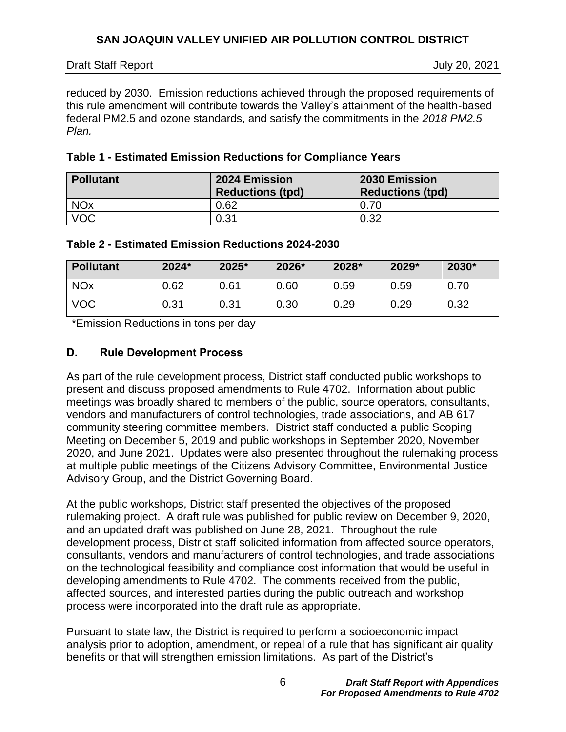July 20, 2021

reduced by 2030. Emission reductions achieved through the proposed requirements of this rule amendment will contribute towards the Valley's attainment of the health-based federal PM2.5 and ozone standards, and satisfy the commitments in the *2018 PM2.5 Plan.* 

| Table 1 - Estimated Emission Reductions for Compliance Years |  |  |  |  |  |
|--------------------------------------------------------------|--|--|--|--|--|
|--------------------------------------------------------------|--|--|--|--|--|

| <b>Pollutant</b>      | 2024 Emission<br><b>Reductions (tpd)</b> | 2030 Emission<br><b>Reductions (tpd)</b> |
|-----------------------|------------------------------------------|------------------------------------------|
| <b>NO<sub>x</sub></b> | 0.62                                     | 0.70                                     |
| <b>VOC</b>            | 0.31                                     | 0.32                                     |

#### **Table 2 - Estimated Emission Reductions 2024-2030**

| <b>Pollutant</b>      | 2024* | 2025* | 2026* | 2028* | 2029* | 2030* |
|-----------------------|-------|-------|-------|-------|-------|-------|
| <b>NO<sub>x</sub></b> | 0.62  | 0.61  | 0.60  | 0.59  | 0.59  | 0.70  |
| <b>VOC</b>            | 0.31  | 0.31  | 0.30  | 0.29  | 0.29  | 0.32  |

\*Emission Reductions in tons per day

## <span id="page-5-0"></span>**D. Rule Development Process**

As part of the rule development process, District staff conducted public workshops to present and discuss proposed amendments to Rule 4702. Information about public meetings was broadly shared to members of the public, source operators, consultants, vendors and manufacturers of control technologies, trade associations, and AB 617 community steering committee members. District staff conducted a public Scoping Meeting on December 5, 2019 and public workshops in September 2020, November 2020, and June 2021. Updates were also presented throughout the rulemaking process at multiple public meetings of the Citizens Advisory Committee, Environmental Justice Advisory Group, and the District Governing Board.

At the public workshops, District staff presented the objectives of the proposed rulemaking project. A draft rule was published for public review on December 9, 2020, and an updated draft was published on June 28, 2021. Throughout the rule development process, District staff solicited information from affected source operators, consultants, vendors and manufacturers of control technologies, and trade associations on the technological feasibility and compliance cost information that would be useful in developing amendments to Rule 4702. The comments received from the public, affected sources, and interested parties during the public outreach and workshop process were incorporated into the draft rule as appropriate.

Pursuant to state law, the District is required to perform a socioeconomic impact analysis prior to adoption, amendment, or repeal of a rule that has significant air quality benefits or that will strengthen emission limitations. As part of the District's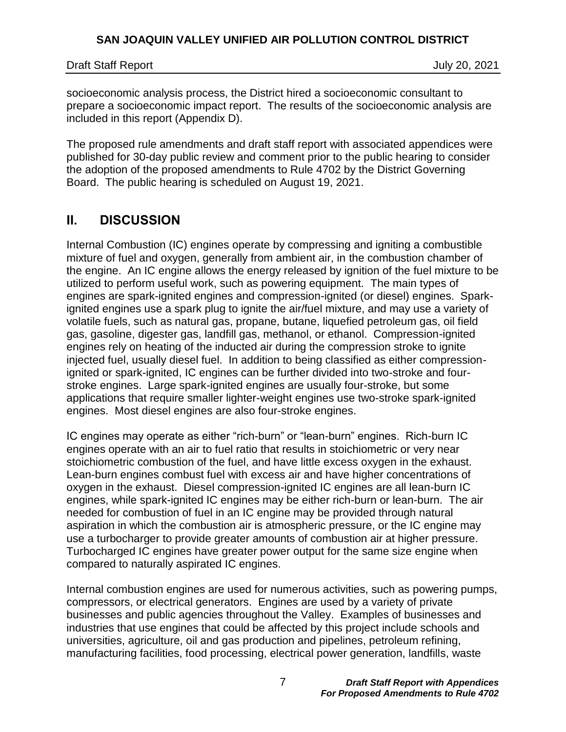socioeconomic analysis process, the District hired a socioeconomic consultant to prepare a socioeconomic impact report. The results of the socioeconomic analysis are included in this report (Appendix D).

The proposed rule amendments and draft staff report with associated appendices were published for 30-day public review and comment prior to the public hearing to consider the adoption of the proposed amendments to Rule 4702 by the District Governing Board. The public hearing is scheduled on August 19, 2021.

# <span id="page-6-0"></span>**II. DISCUSSION**

Internal Combustion (IC) engines operate by compressing and igniting a combustible mixture of fuel and oxygen, generally from ambient air, in the combustion chamber of the engine. An IC engine allows the energy released by ignition of the fuel mixture to be utilized to perform useful work, such as powering equipment. The main types of engines are spark-ignited engines and compression-ignited (or diesel) engines. Sparkignited engines use a spark plug to ignite the air/fuel mixture, and may use a variety of volatile fuels, such as natural gas, propane, butane, liquefied petroleum gas, oil field gas, gasoline, digester gas, landfill gas, methanol, or ethanol. Compression-ignited engines rely on heating of the inducted air during the compression stroke to ignite injected fuel, usually diesel fuel. In addition to being classified as either compressionignited or spark-ignited, IC engines can be further divided into two-stroke and fourstroke engines. Large spark-ignited engines are usually four-stroke, but some applications that require smaller lighter-weight engines use two-stroke spark-ignited engines. Most diesel engines are also four-stroke engines.

IC engines may operate as either "rich-burn" or "lean-burn" engines. Rich-burn IC engines operate with an air to fuel ratio that results in stoichiometric or very near stoichiometric combustion of the fuel, and have little excess oxygen in the exhaust. Lean-burn engines combust fuel with excess air and have higher concentrations of oxygen in the exhaust. Diesel compression-ignited IC engines are all lean-burn IC engines, while spark-ignited IC engines may be either rich-burn or lean-burn. The air needed for combustion of fuel in an IC engine may be provided through natural aspiration in which the combustion air is atmospheric pressure, or the IC engine may use a turbocharger to provide greater amounts of combustion air at higher pressure. Turbocharged IC engines have greater power output for the same size engine when compared to naturally aspirated IC engines.

Internal combustion engines are used for numerous activities, such as powering pumps, compressors, or electrical generators. Engines are used by a variety of private businesses and public agencies throughout the Valley. Examples of businesses and industries that use engines that could be affected by this project include schools and universities, agriculture, oil and gas production and pipelines, petroleum refining, manufacturing facilities, food processing, electrical power generation, landfills, waste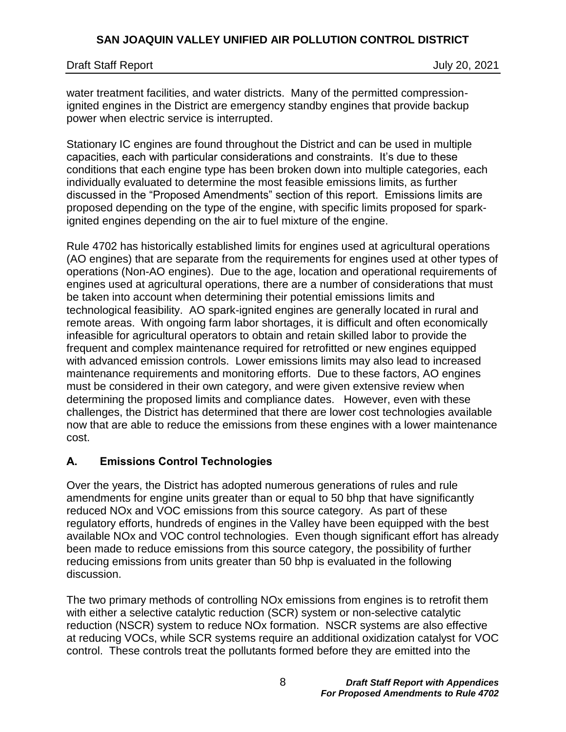water treatment facilities, and water districts. Many of the permitted compressionignited engines in the District are emergency standby engines that provide backup power when electric service is interrupted.

Stationary IC engines are found throughout the District and can be used in multiple capacities, each with particular considerations and constraints. It's due to these conditions that each engine type has been broken down into multiple categories, each individually evaluated to determine the most feasible emissions limits, as further discussed in the "Proposed Amendments" section of this report. Emissions limits are proposed depending on the type of the engine, with specific limits proposed for sparkignited engines depending on the air to fuel mixture of the engine.

Rule 4702 has historically established limits for engines used at agricultural operations (AO engines) that are separate from the requirements for engines used at other types of operations (Non-AO engines). Due to the age, location and operational requirements of engines used at agricultural operations, there are a number of considerations that must be taken into account when determining their potential emissions limits and technological feasibility. AO spark-ignited engines are generally located in rural and remote areas. With ongoing farm labor shortages, it is difficult and often economically infeasible for agricultural operators to obtain and retain skilled labor to provide the frequent and complex maintenance required for retrofitted or new engines equipped with advanced emission controls. Lower emissions limits may also lead to increased maintenance requirements and monitoring efforts. Due to these factors, AO engines must be considered in their own category, and were given extensive review when determining the proposed limits and compliance dates. However, even with these challenges, the District has determined that there are lower cost technologies available now that are able to reduce the emissions from these engines with a lower maintenance cost.

## <span id="page-7-0"></span>**A. Emissions Control Technologies**

Over the years, the District has adopted numerous generations of rules and rule amendments for engine units greater than or equal to 50 bhp that have significantly reduced NOx and VOC emissions from this source category. As part of these regulatory efforts, hundreds of engines in the Valley have been equipped with the best available NOx and VOC control technologies. Even though significant effort has already been made to reduce emissions from this source category, the possibility of further reducing emissions from units greater than 50 bhp is evaluated in the following discussion.

The two primary methods of controlling NOx emissions from engines is to retrofit them with either a selective catalytic reduction (SCR) system or non-selective catalytic reduction (NSCR) system to reduce NOx formation. NSCR systems are also effective at reducing VOCs, while SCR systems require an additional oxidization catalyst for VOC control. These controls treat the pollutants formed before they are emitted into the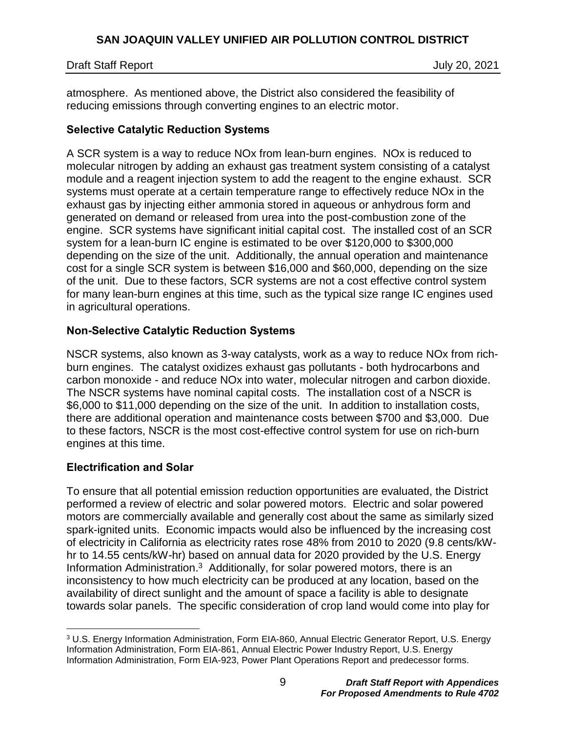### Draft Staff Report July 20, 2021

atmosphere. As mentioned above, the District also considered the feasibility of reducing emissions through converting engines to an electric motor.

### <span id="page-8-0"></span>**Selective Catalytic Reduction Systems**

A SCR system is a way to reduce NOx from lean-burn engines. NOx is reduced to molecular nitrogen by adding an exhaust gas treatment system consisting of a catalyst module and a reagent injection system to add the reagent to the engine exhaust. SCR systems must operate at a certain temperature range to effectively reduce NOx in the exhaust gas by injecting either ammonia stored in aqueous or anhydrous form and generated on demand or released from urea into the post-combustion zone of the engine. SCR systems have significant initial capital cost. The installed cost of an SCR system for a lean-burn IC engine is estimated to be over \$120,000 to \$300,000 depending on the size of the unit. Additionally, the annual operation and maintenance cost for a single SCR system is between \$16,000 and \$60,000, depending on the size of the unit. Due to these factors, SCR systems are not a cost effective control system for many lean-burn engines at this time, such as the typical size range IC engines used in agricultural operations.

### <span id="page-8-1"></span>**Non-Selective Catalytic Reduction Systems**

NSCR systems, also known as 3-way catalysts, work as a way to reduce NOx from richburn engines. The catalyst oxidizes exhaust gas pollutants - both hydrocarbons and carbon monoxide - and reduce NOx into water, molecular nitrogen and carbon dioxide. The NSCR systems have nominal capital costs. The installation cost of a NSCR is \$6,000 to \$11,000 depending on the size of the unit. In addition to installation costs, there are additional operation and maintenance costs between \$700 and \$3,000. Due to these factors, NSCR is the most cost-effective control system for use on rich-burn engines at this time.

## <span id="page-8-2"></span>**Electrification and Solar**

To ensure that all potential emission reduction opportunities are evaluated, the District performed a review of electric and solar powered motors. Electric and solar powered motors are commercially available and generally cost about the same as similarly sized spark-ignited units. Economic impacts would also be influenced by the increasing cost of electricity in California as electricity rates rose 48% from 2010 to 2020 (9.8 cents/kWhr to 14.55 cents/kW-hr) based on annual data for 2020 provided by the U.S. Energy Information Administration.<sup>3</sup> Additionally, for solar powered motors, there is an inconsistency to how much electricity can be produced at any location, based on the availability of direct sunlight and the amount of space a facility is able to designate towards solar panels. The specific consideration of crop land would come into play for

 $\overline{a}$ <sup>3</sup> U.S. Energy Information Administration, Form EIA-860, Annual Electric Generator Report, U.S. Energy Information Administration, Form EIA-861, Annual Electric Power Industry Report, U.S. Energy Information Administration, Form EIA-923, Power Plant Operations Report and predecessor forms.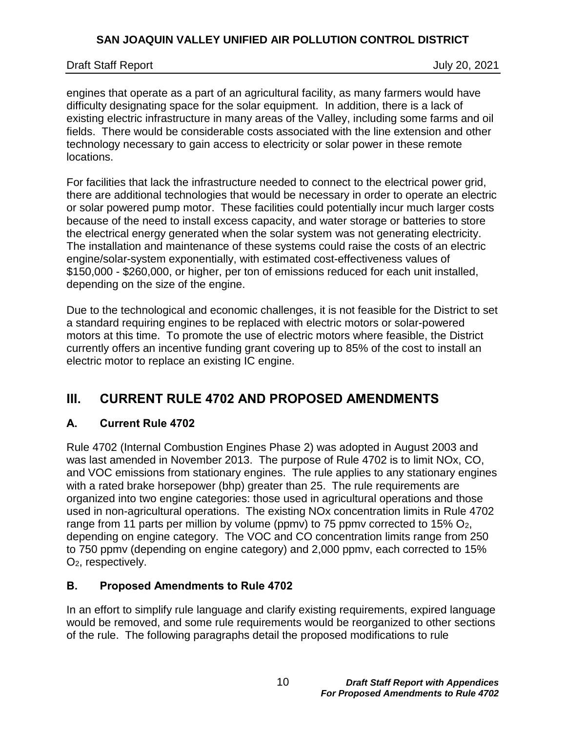### Draft Staff Report July 20, 2021

engines that operate as a part of an agricultural facility, as many farmers would have difficulty designating space for the solar equipment. In addition, there is a lack of existing electric infrastructure in many areas of the Valley, including some farms and oil fields. There would be considerable costs associated with the line extension and other technology necessary to gain access to electricity or solar power in these remote locations.

For facilities that lack the infrastructure needed to connect to the electrical power grid, there are additional technologies that would be necessary in order to operate an electric or solar powered pump motor. These facilities could potentially incur much larger costs because of the need to install excess capacity, and water storage or batteries to store the electrical energy generated when the solar system was not generating electricity. The installation and maintenance of these systems could raise the costs of an electric engine/solar-system exponentially, with estimated cost-effectiveness values of \$150,000 - \$260,000, or higher, per ton of emissions reduced for each unit installed, depending on the size of the engine.

Due to the technological and economic challenges, it is not feasible for the District to set a standard requiring engines to be replaced with electric motors or solar-powered motors at this time. To promote the use of electric motors where feasible, the District currently offers an incentive funding grant covering up to 85% of the cost to install an electric motor to replace an existing IC engine.

# <span id="page-9-0"></span>**III. CURRENT RULE 4702 AND PROPOSED AMENDMENTS**

## <span id="page-9-1"></span>**A. Current Rule 4702**

Rule 4702 (Internal Combustion Engines Phase 2) was adopted in August 2003 and was last amended in November 2013. The purpose of Rule 4702 is to limit NOx, CO, and VOC emissions from stationary engines. The rule applies to any stationary engines with a rated brake horsepower (bhp) greater than 25. The rule requirements are organized into two engine categories: those used in agricultural operations and those used in non-agricultural operations. The existing NOx concentration limits in Rule 4702 range from 11 parts per million by volume (ppmv) to 75 ppmv corrected to 15%  $O<sub>2</sub>$ , depending on engine category. The VOC and CO concentration limits range from 250 to 750 ppmv (depending on engine category) and 2,000 ppmv, each corrected to 15% O2, respectively.

## <span id="page-9-2"></span>**B. Proposed Amendments to Rule 4702**

In an effort to simplify rule language and clarify existing requirements, expired language would be removed, and some rule requirements would be reorganized to other sections of the rule. The following paragraphs detail the proposed modifications to rule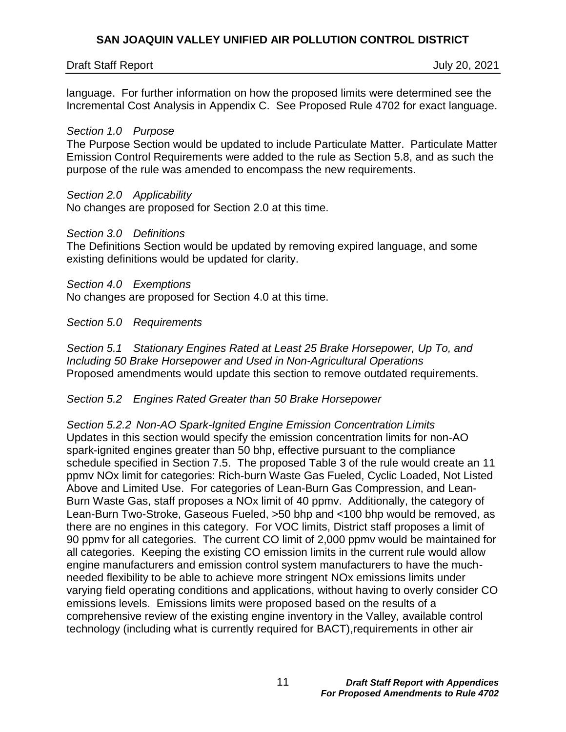### Draft Staff Report July 20, 2021

language. For further information on how the proposed limits were determined see the Incremental Cost Analysis in Appendix C. See Proposed Rule 4702 for exact language.

#### *Section 1.0 Purpose*

The Purpose Section would be updated to include Particulate Matter. Particulate Matter Emission Control Requirements were added to the rule as Section 5.8, and as such the purpose of the rule was amended to encompass the new requirements.

#### *Section 2.0 Applicability*

No changes are proposed for Section 2.0 at this time.

#### *Section 3.0 Definitions*

The Definitions Section would be updated by removing expired language, and some existing definitions would be updated for clarity.

#### *Section 4.0 Exemptions*

No changes are proposed for Section 4.0 at this time.

*Section 5.0 Requirements*

*Section 5.1 Stationary Engines Rated at Least 25 Brake Horsepower, Up To, and Including 50 Brake Horsepower and Used in Non-Agricultural Operations* Proposed amendments would update this section to remove outdated requirements.

#### *Section 5.2 Engines Rated Greater than 50 Brake Horsepower*

*Section 5.2.2 Non-AO Spark-Ignited Engine Emission Concentration Limits* Updates in this section would specify the emission concentration limits for non-AO spark-ignited engines greater than 50 bhp, effective pursuant to the compliance schedule specified in Section 7.5. The proposed Table 3 of the rule would create an 11 ppmv NOx limit for categories: Rich-burn Waste Gas Fueled, Cyclic Loaded, Not Listed Above and Limited Use. For categories of Lean-Burn Gas Compression, and Lean-Burn Waste Gas, staff proposes a NOx limit of 40 ppmv. Additionally, the category of Lean-Burn Two-Stroke, Gaseous Fueled, >50 bhp and <100 bhp would be removed, as there are no engines in this category. For VOC limits, District staff proposes a limit of 90 ppmv for all categories. The current CO limit of 2,000 ppmv would be maintained for all categories. Keeping the existing CO emission limits in the current rule would allow engine manufacturers and emission control system manufacturers to have the muchneeded flexibility to be able to achieve more stringent NOx emissions limits under varying field operating conditions and applications, without having to overly consider CO emissions levels. Emissions limits were proposed based on the results of a comprehensive review of the existing engine inventory in the Valley, available control technology (including what is currently required for BACT),requirements in other air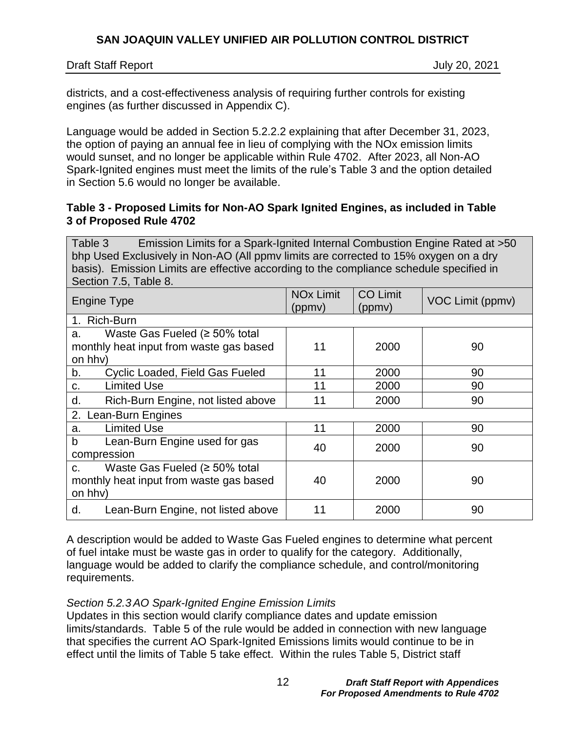Draft Staff Report July 20, 2021

districts, and a cost-effectiveness analysis of requiring further controls for existing engines (as further discussed in Appendix C).

Language would be added in Section 5.2.2.2 explaining that after December 31, 2023, the option of paying an annual fee in lieu of complying with the NOx emission limits would sunset, and no longer be applicable within Rule 4702. After 2023, all Non-AO Spark-Ignited engines must meet the limits of the rule's Table 3 and the option detailed in Section 5.6 would no longer be available.

### **Table 3 - Proposed Limits for Non-AO Spark Ignited Engines, as included in Table 3 of Proposed Rule 4702**

Table 3 Emission Limits for a Spark-Ignited Internal Combustion Engine Rated at >50 bhp Used Exclusively in Non-AO (All ppmv limits are corrected to 15% oxygen on a dry basis). Emission Limits are effective according to the compliance schedule specified in Section 7.5, Table 8.

| <b>Engine Type</b>                        | <b>NO<sub>x</sub></b> Limit<br>(ppmy) | <b>CO Limit</b><br>(ppmy) | VOC Limit (ppmv) |
|-------------------------------------------|---------------------------------------|---------------------------|------------------|
| 1. Rich-Burn                              |                                       |                           |                  |
| Waste Gas Fueled ( $\geq$ 50% total<br>a. |                                       |                           |                  |
| monthly heat input from waste gas based   | 11                                    | 2000                      | 90               |
| on hhv)                                   |                                       |                           |                  |
| Cyclic Loaded, Field Gas Fueled<br>b.     | 11                                    | 2000                      | 90               |
| <b>Limited Use</b><br>C.                  | 11                                    | 2000                      | 90               |
| d.<br>Rich-Burn Engine, not listed above  | 11                                    | 2000                      | 90               |
| 2. Lean-Burn Engines                      |                                       |                           |                  |
| <b>Limited Use</b><br>a.                  | 11                                    | 2000                      | 90               |
| Lean-Burn Engine used for gas<br>b        | 40                                    | 2000                      | 90               |
| compression                               |                                       |                           |                  |
| Waste Gas Fueled ( $\geq$ 50% total<br>C. |                                       |                           |                  |
| monthly heat input from waste gas based   | 40                                    | 2000                      | 90               |
| on hhv)                                   |                                       |                           |                  |
| d.<br>Lean-Burn Engine, not listed above  | 11                                    | 2000                      | 90               |

A description would be added to Waste Gas Fueled engines to determine what percent of fuel intake must be waste gas in order to qualify for the category. Additionally, language would be added to clarify the compliance schedule, and control/monitoring requirements.

## *Section 5.2.3AO Spark-Ignited Engine Emission Limits*

Updates in this section would clarify compliance dates and update emission limits/standards. Table 5 of the rule would be added in connection with new language that specifies the current AO Spark-Ignited Emissions limits would continue to be in effect until the limits of Table 5 take effect. Within the rules Table 5, District staff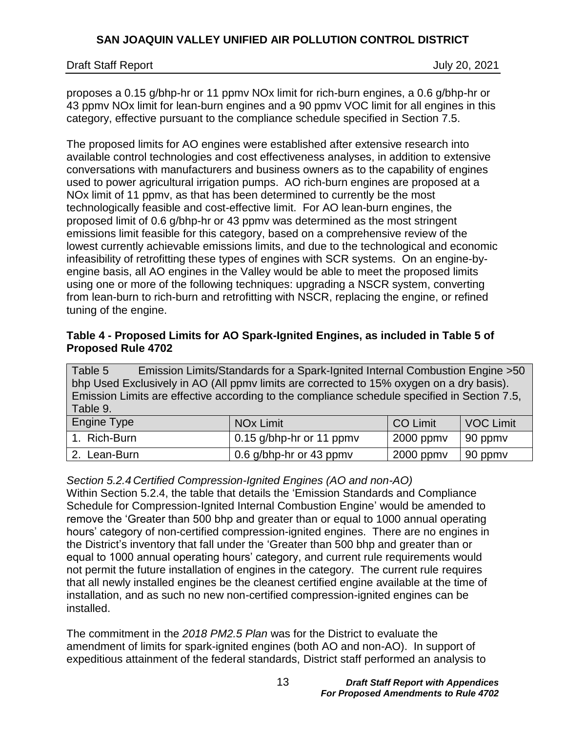proposes a 0.15 g/bhp-hr or 11 ppmv NOx limit for rich-burn engines, a 0.6 g/bhp-hr or 43 ppmv NOx limit for lean-burn engines and a 90 ppmv VOC limit for all engines in this category, effective pursuant to the compliance schedule specified in Section 7.5.

The proposed limits for AO engines were established after extensive research into available control technologies and cost effectiveness analyses, in addition to extensive conversations with manufacturers and business owners as to the capability of engines used to power agricultural irrigation pumps. AO rich-burn engines are proposed at a NOx limit of 11 ppmv, as that has been determined to currently be the most technologically feasible and cost-effective limit. For AO lean-burn engines, the proposed limit of 0.6 g/bhp-hr or 43 ppmv was determined as the most stringent emissions limit feasible for this category, based on a comprehensive review of the lowest currently achievable emissions limits, and due to the technological and economic infeasibility of retrofitting these types of engines with SCR systems. On an engine-byengine basis, all AO engines in the Valley would be able to meet the proposed limits using one or more of the following techniques: upgrading a NSCR system, converting from lean-burn to rich-burn and retrofitting with NSCR, replacing the engine, or refined tuning of the engine.

## **Table 4 - Proposed Limits for AO Spark-Ignited Engines, as included in Table 5 of Proposed Rule 4702**

Table 5 Emission Limits/Standards for a Spark-Ignited Internal Combustion Engine >50 bhp Used Exclusively in AO (All ppmv limits are corrected to 15% oxygen on a dry basis). Emission Limits are effective according to the compliance schedule specified in Section 7.5, Table 9.

| Engine Type  | <b>NO<sub>x</sub></b> Limit      | <b>CO Limit</b> | VOC Limit       |
|--------------|----------------------------------|-----------------|-----------------|
| 1. Rich-Burn | $\vert$ 0.15 g/bhp-hr or 11 ppmv | 2000 ppmv       | $\vert$ 90 ppmv |
| 2. Lean-Burn | 0.6 g/bhp-hr or 43 ppmv          | $2000$ ppm $v$  | 90 ppmv         |

## *Section 5.2.4 Certified Compression-Ignited Engines (AO and non-AO)*

Within Section 5.2.4, the table that details the 'Emission Standards and Compliance Schedule for Compression-Ignited Internal Combustion Engine' would be amended to remove the 'Greater than 500 bhp and greater than or equal to 1000 annual operating hours' category of non-certified compression-ignited engines. There are no engines in the District's inventory that fall under the 'Greater than 500 bhp and greater than or equal to 1000 annual operating hours' category, and current rule requirements would not permit the future installation of engines in the category. The current rule requires that all newly installed engines be the cleanest certified engine available at the time of installation, and as such no new non-certified compression-ignited engines can be installed.

The commitment in the *2018 PM2.5 Plan* was for the District to evaluate the amendment of limits for spark-ignited engines (both AO and non-AO). In support of expeditious attainment of the federal standards, District staff performed an analysis to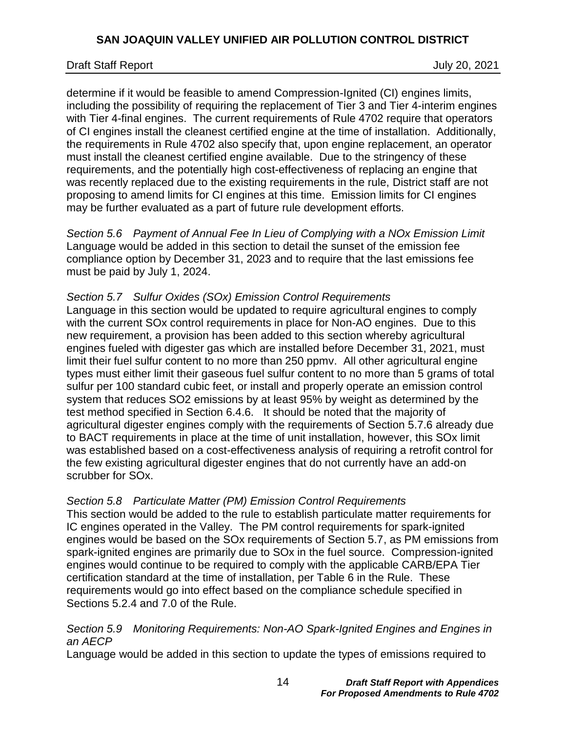### Draft Staff Report July 20, 2021

determine if it would be feasible to amend Compression-Ignited (CI) engines limits, including the possibility of requiring the replacement of Tier 3 and Tier 4-interim engines with Tier 4-final engines. The current requirements of Rule 4702 require that operators of CI engines install the cleanest certified engine at the time of installation. Additionally, the requirements in Rule 4702 also specify that, upon engine replacement, an operator must install the cleanest certified engine available. Due to the stringency of these requirements, and the potentially high cost-effectiveness of replacing an engine that was recently replaced due to the existing requirements in the rule, District staff are not proposing to amend limits for CI engines at this time. Emission limits for CI engines may be further evaluated as a part of future rule development efforts.

*Section 5.6 Payment of Annual Fee In Lieu of Complying with a NOx Emission Limit* Language would be added in this section to detail the sunset of the emission fee compliance option by December 31, 2023 and to require that the last emissions fee must be paid by July 1, 2024.

#### *Section 5.7 Sulfur Oxides (SOx) Emission Control Requirements*

Language in this section would be updated to require agricultural engines to comply with the current SOx control requirements in place for Non-AO engines. Due to this new requirement, a provision has been added to this section whereby agricultural engines fueled with digester gas which are installed before December 31, 2021, must limit their fuel sulfur content to no more than 250 ppmv. All other agricultural engine types must either limit their gaseous fuel sulfur content to no more than 5 grams of total sulfur per 100 standard cubic feet, or install and properly operate an emission control system that reduces SO2 emissions by at least 95% by weight as determined by the test method specified in Section 6.4.6. It should be noted that the majority of agricultural digester engines comply with the requirements of Section 5.7.6 already due to BACT requirements in place at the time of unit installation, however, this SOx limit was established based on a cost-effectiveness analysis of requiring a retrofit control for the few existing agricultural digester engines that do not currently have an add-on scrubber for SOx.

#### *Section 5.8 Particulate Matter (PM) Emission Control Requirements*

This section would be added to the rule to establish particulate matter requirements for IC engines operated in the Valley. The PM control requirements for spark-ignited engines would be based on the SOx requirements of Section 5.7, as PM emissions from spark-ignited engines are primarily due to SOx in the fuel source. Compression-ignited engines would continue to be required to comply with the applicable CARB/EPA Tier certification standard at the time of installation, per Table 6 in the Rule. These requirements would go into effect based on the compliance schedule specified in Sections 5.2.4 and 7.0 of the Rule.

#### *Section 5.9 Monitoring Requirements: Non-AO Spark-Ignited Engines and Engines in an AECP*

Language would be added in this section to update the types of emissions required to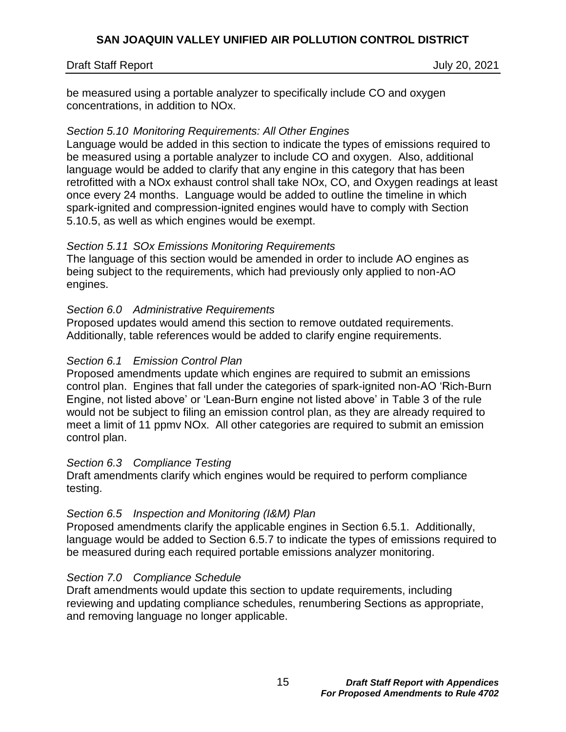#### Draft Staff Report July 20, 2021

be measured using a portable analyzer to specifically include CO and oxygen concentrations, in addition to NOx.

### *Section 5.10 Monitoring Requirements: All Other Engines*

Language would be added in this section to indicate the types of emissions required to be measured using a portable analyzer to include CO and oxygen. Also, additional language would be added to clarify that any engine in this category that has been retrofitted with a NOx exhaust control shall take NOx, CO, and Oxygen readings at least once every 24 months. Language would be added to outline the timeline in which spark-ignited and compression-ignited engines would have to comply with Section 5.10.5, as well as which engines would be exempt.

### *Section 5.11 SOx Emissions Monitoring Requirements*

The language of this section would be amended in order to include AO engines as being subject to the requirements, which had previously only applied to non-AO engines.

### *Section 6.0 Administrative Requirements*

Proposed updates would amend this section to remove outdated requirements. Additionally, table references would be added to clarify engine requirements.

### *Section 6.1 Emission Control Plan*

Proposed amendments update which engines are required to submit an emissions control plan. Engines that fall under the categories of spark-ignited non-AO 'Rich-Burn Engine, not listed above' or 'Lean-Burn engine not listed above' in Table 3 of the rule would not be subject to filing an emission control plan, as they are already required to meet a limit of 11 ppmv NOx. All other categories are required to submit an emission control plan.

#### *Section 6.3 Compliance Testing*

Draft amendments clarify which engines would be required to perform compliance testing.

## *Section 6.5 Inspection and Monitoring (I&M) Plan*

Proposed amendments clarify the applicable engines in Section 6.5.1. Additionally, language would be added to Section 6.5.7 to indicate the types of emissions required to be measured during each required portable emissions analyzer monitoring.

#### *Section 7.0 Compliance Schedule*

Draft amendments would update this section to update requirements, including reviewing and updating compliance schedules, renumbering Sections as appropriate, and removing language no longer applicable.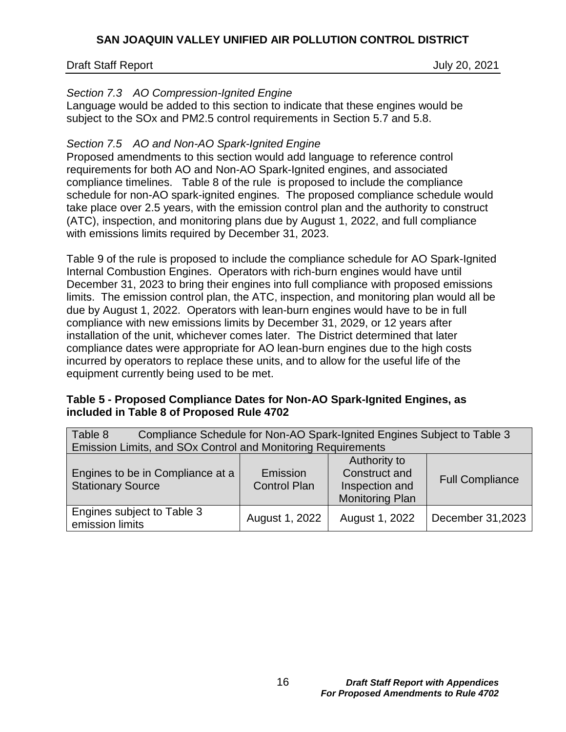### Draft Staff Report July 20, 2021

### *Section 7.3 AO Compression-Ignited Engine*

Language would be added to this section to indicate that these engines would be subject to the SOx and PM2.5 control requirements in Section 5.7 and 5.8.

### *Section 7.5 AO and Non-AO Spark-Ignited Engine*

Proposed amendments to this section would add language to reference control requirements for both AO and Non-AO Spark-Ignited engines, and associated compliance timelines. Table 8 of the rule is proposed to include the compliance schedule for non-AO spark-ignited engines. The proposed compliance schedule would take place over 2.5 years, with the emission control plan and the authority to construct (ATC), inspection, and monitoring plans due by August 1, 2022, and full compliance with emissions limits required by December 31, 2023.

Table 9 of the rule is proposed to include the compliance schedule for AO Spark-Ignited Internal Combustion Engines. Operators with rich-burn engines would have until December 31, 2023 to bring their engines into full compliance with proposed emissions limits. The emission control plan, the ATC, inspection, and monitoring plan would all be due by August 1, 2022. Operators with lean-burn engines would have to be in full compliance with new emissions limits by December 31, 2029, or 12 years after installation of the unit, whichever comes later. The District determined that later compliance dates were appropriate for AO lean-burn engines due to the high costs incurred by operators to replace these units, and to allow for the useful life of the equipment currently being used to be met.

#### **Table 5 - Proposed Compliance Dates for Non-AO Spark-Ignited Engines, as included in Table 8 of Proposed Rule 4702**

| Table 8<br>Compliance Schedule for Non-AO Spark-Ignited Engines Subject to Table 3 |                |                        |                  |  |  |  |
|------------------------------------------------------------------------------------|----------------|------------------------|------------------|--|--|--|
| Emission Limits, and SOx Control and Monitoring Requirements                       |                |                        |                  |  |  |  |
| Authority to                                                                       |                |                        |                  |  |  |  |
| Engines to be in Compliance at a                                                   | Emission       | Construct and          |                  |  |  |  |
| <b>Stationary Source</b>                                                           | Inspection and | <b>Full Compliance</b> |                  |  |  |  |
| <b>Monitoring Plan</b>                                                             |                |                        |                  |  |  |  |
| Engines subject to Table 3<br>emission limits                                      | August 1, 2022 | August 1, 2022         | December 31,2023 |  |  |  |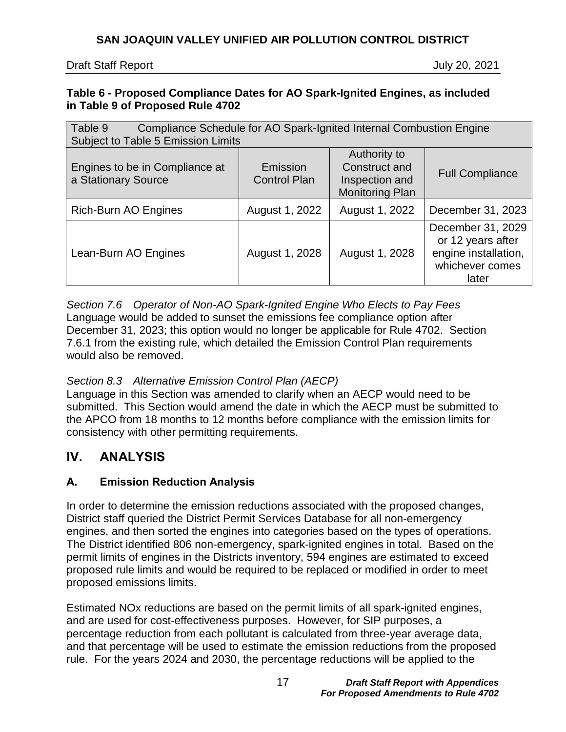### **Table 6 - Proposed Compliance Dates for AO Spark-Ignited Engines, as included in Table 9 of Proposed Rule 4702**

| Table 9<br>Compliance Schedule for AO Spark-Ignited Internal Combustion Engine |                        |                |                                                                                            |  |  |
|--------------------------------------------------------------------------------|------------------------|----------------|--------------------------------------------------------------------------------------------|--|--|
| Subject to Table 5 Emission Limits                                             |                        |                |                                                                                            |  |  |
|                                                                                |                        | Authority to   |                                                                                            |  |  |
| Engines to be in Compliance at                                                 | Emission               | Construct and  | <b>Full Compliance</b>                                                                     |  |  |
| a Stationary Source                                                            | <b>Control Plan</b>    | Inspection and |                                                                                            |  |  |
|                                                                                | <b>Monitoring Plan</b> |                |                                                                                            |  |  |
| Rich-Burn AO Engines                                                           | August 1, 2022         | August 1, 2022 | December 31, 2023                                                                          |  |  |
| Lean-Burn AO Engines                                                           | August 1, 2028         | August 1, 2028 | December 31, 2029<br>or 12 years after<br>engine installation,<br>whichever comes<br>later |  |  |

*Section 7.6 Operator of Non-AO Spark-Ignited Engine Who Elects to Pay Fees* Language would be added to sunset the emissions fee compliance option after December 31, 2023; this option would no longer be applicable for Rule 4702. Section 7.6.1 from the existing rule, which detailed the Emission Control Plan requirements would also be removed.

## *Section 8.3 Alternative Emission Control Plan (AECP)*

Language in this Section was amended to clarify when an AECP would need to be submitted. This Section would amend the date in which the AECP must be submitted to the APCO from 18 months to 12 months before compliance with the emission limits for consistency with other permitting requirements.

# <span id="page-16-0"></span>**IV. ANALYSIS**

## <span id="page-16-1"></span>**A. Emission Reduction Analysis**

In order to determine the emission reductions associated with the proposed changes, District staff queried the District Permit Services Database for all non-emergency engines, and then sorted the engines into categories based on the types of operations. The District identified 806 non-emergency, spark-ignited engines in total. Based on the permit limits of engines in the Districts inventory, 594 engines are estimated to exceed proposed rule limits and would be required to be replaced or modified in order to meet proposed emissions limits.

Estimated NOx reductions are based on the permit limits of all spark-ignited engines, and are used for cost-effectiveness purposes. However, for SIP purposes, a percentage reduction from each pollutant is calculated from three-year average data, and that percentage will be used to estimate the emission reductions from the proposed rule. For the years 2024 and 2030, the percentage reductions will be applied to the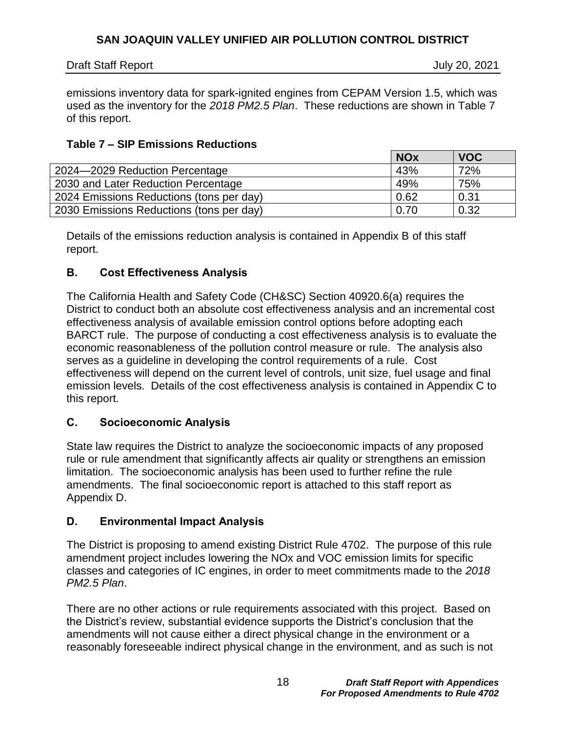July 20, 2021

emissions inventory data for spark-ignited engines from CEPAM Version 1.5, which was used as the inventory for the *2018 PM2.5 Plan*. These reductions are shown in [Table](#page-17-3) 7 of this report.

## <span id="page-17-3"></span>**Table 7 – SIP Emissions Reductions**

|                                          | <b>NOx</b> | <b>VOC</b> |
|------------------------------------------|------------|------------|
| 2024-2029 Reduction Percentage           | 43%        | 72%        |
| 2030 and Later Reduction Percentage      | 49%        | 75%        |
| 2024 Emissions Reductions (tons per day) | 0.62       | 0.31       |
| 2030 Emissions Reductions (tons per day) | 0.70       | 0.32       |

Details of the emissions reduction analysis is contained in Appendix B of this staff report.

## <span id="page-17-0"></span>**B. Cost Effectiveness Analysis**

The California Health and Safety Code (CH&SC) Section 40920.6(a) requires the District to conduct both an absolute cost effectiveness analysis and an incremental cost effectiveness analysis of available emission control options before adopting each BARCT rule. The purpose of conducting a cost effectiveness analysis is to evaluate the economic reasonableness of the pollution control measure or rule. The analysis also serves as a guideline in developing the control requirements of a rule. Cost effectiveness will depend on the current level of controls, unit size, fuel usage and final emission levels. Details of the cost effectiveness analysis is contained in Appendix C to this report.

## <span id="page-17-1"></span>**C. Socioeconomic Analysis**

State law requires the District to analyze the socioeconomic impacts of any proposed rule or rule amendment that significantly affects air quality or strengthens an emission limitation. The socioeconomic analysis has been used to further refine the rule amendments. The final socioeconomic report is attached to this staff report as Appendix D.

## <span id="page-17-2"></span>**D. Environmental Impact Analysis**

The District is proposing to amend existing District Rule 4702. The purpose of this rule amendment project includes lowering the NOx and VOC emission limits for specific classes and categories of IC engines, in order to meet commitments made to the *2018 PM2.5 Plan*.

There are no other actions or rule requirements associated with this project. Based on the District's review, substantial evidence supports the District's conclusion that the amendments will not cause either a direct physical change in the environment or a reasonably foreseeable indirect physical change in the environment, and as such is not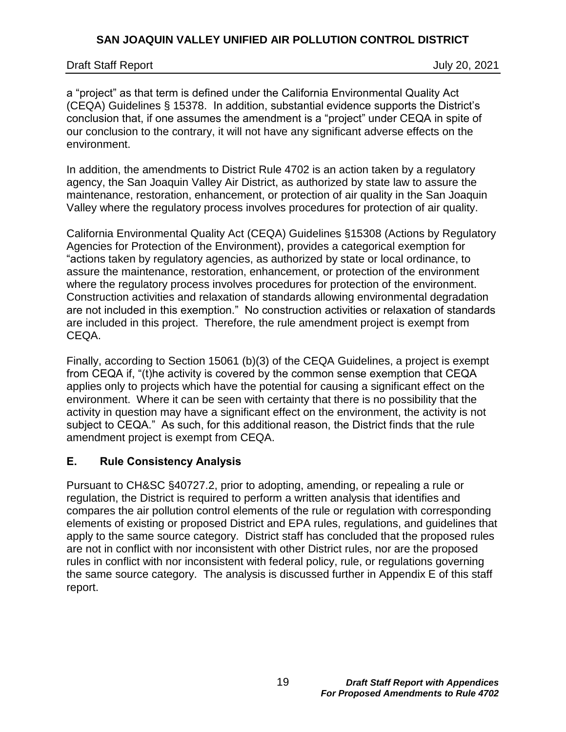### Draft Staff Report July 20, 2021

a "project" as that term is defined under the California Environmental Quality Act (CEQA) Guidelines § 15378. In addition, substantial evidence supports the District's conclusion that, if one assumes the amendment is a "project" under CEQA in spite of our conclusion to the contrary, it will not have any significant adverse effects on the environment.

In addition, the amendments to District Rule 4702 is an action taken by a regulatory agency, the San Joaquin Valley Air District, as authorized by state law to assure the maintenance, restoration, enhancement, or protection of air quality in the San Joaquin Valley where the regulatory process involves procedures for protection of air quality.

California Environmental Quality Act (CEQA) Guidelines §15308 (Actions by Regulatory Agencies for Protection of the Environment), provides a categorical exemption for "actions taken by regulatory agencies, as authorized by state or local ordinance, to assure the maintenance, restoration, enhancement, or protection of the environment where the regulatory process involves procedures for protection of the environment. Construction activities and relaxation of standards allowing environmental degradation are not included in this exemption." No construction activities or relaxation of standards are included in this project. Therefore, the rule amendment project is exempt from CEQA.

Finally, according to Section 15061 (b)(3) of the CEQA Guidelines, a project is exempt from CEQA if, "(t)he activity is covered by the common sense exemption that CEQA applies only to projects which have the potential for causing a significant effect on the environment. Where it can be seen with certainty that there is no possibility that the activity in question may have a significant effect on the environment, the activity is not subject to CEQA." As such, for this additional reason, the District finds that the rule amendment project is exempt from CEQA.

## <span id="page-18-0"></span>**E. Rule Consistency Analysis**

Pursuant to CH&SC §40727.2, prior to adopting, amending, or repealing a rule or regulation, the District is required to perform a written analysis that identifies and compares the air pollution control elements of the rule or regulation with corresponding elements of existing or proposed District and EPA rules, regulations, and guidelines that apply to the same source category. District staff has concluded that the proposed rules are not in conflict with nor inconsistent with other District rules, nor are the proposed rules in conflict with nor inconsistent with federal policy, rule, or regulations governing the same source category. The analysis is discussed further in Appendix E of this staff report.